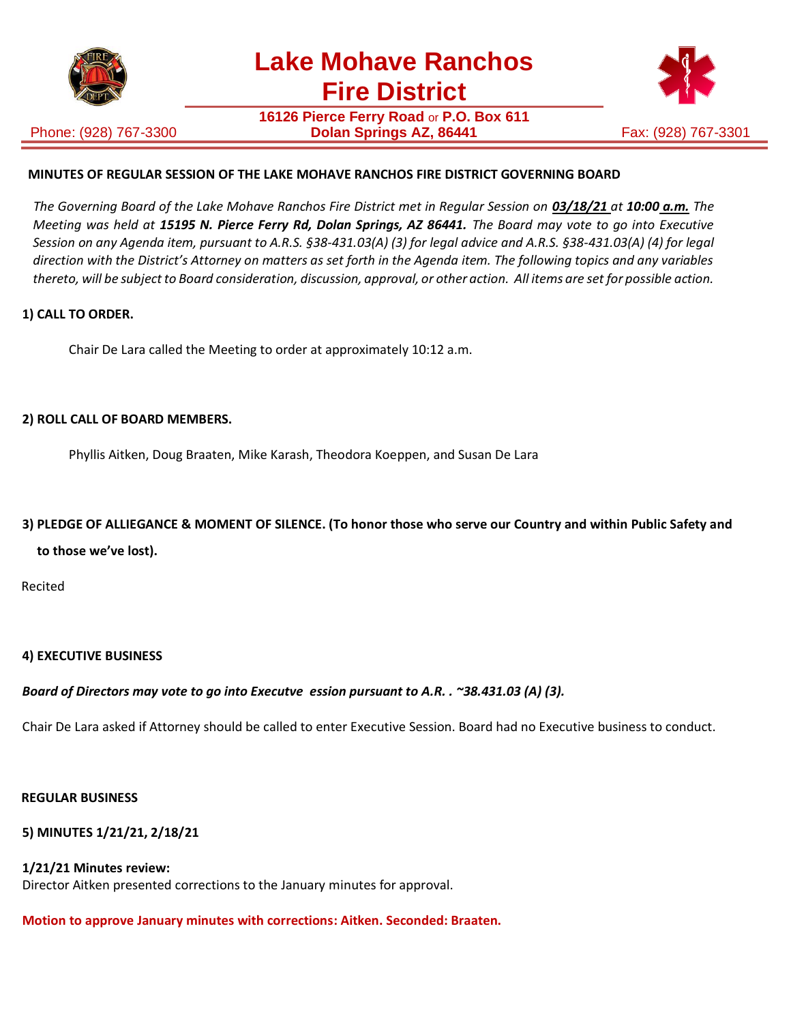

Phone: (928) 767-3300

**16126 Pierce Ferry Road** or **P.O. Box 611 Dolan Springs AZ, 86441** Fax: (928) 767-3301



#### **MINUTES OF REGULAR SESSION OF THE LAKE MOHAVE RANCHOS FIRE DISTRICT GOVERNING BOARD**

*The Governing Board of the Lake Mohave Ranchos Fire District met in Regular Session on 03/18/21 at 10:00 a.m. The Meeting was held at 15195 N. Pierce Ferry Rd, Dolan Springs, AZ 86441. The Board may vote to go into Executive Session on any Agenda item, pursuant to A.R.S. §38-431.03(A) (3) for legal advice and A.R.S. §38-431.03(A) (4) for legal direction with the District's Attorney on matters as set forth in the Agenda item. The following topics and any variables thereto, will be subject to Board consideration, discussion, approval, or other action. All items are set for possible action.*

#### **1) CALL TO ORDER.**

Chair De Lara called the Meeting to order at approximately 10:12 a.m.

#### **2) ROLL CALL OF BOARD MEMBERS.**

Phyllis Aitken, Doug Braaten, Mike Karash, Theodora Koeppen, and Susan De Lara

# **3) PLEDGE OF ALLIEGANCE & MOMENT OF SILENCE. (To honor those who serve our Country and within Public Safety and**

**to those we've lost).**

Recited

#### **4) EXECUTIVE BUSINESS**

#### *Board of Directors may vote to go into Executve ession pursuant to A.R. . ~38.431.03 (A) (3).*

Chair De Lara asked if Attorney should be called to enter Executive Session. Board had no Executive business to conduct.

#### **REGULAR BUSINESS**

#### **5) MINUTES 1/21/21, 2/18/21**

### **1/21/21 Minutes review:**

Director Aitken presented corrections to the January minutes for approval.

#### **Motion to approve January minutes with corrections: Aitken. Seconded: Braaten.**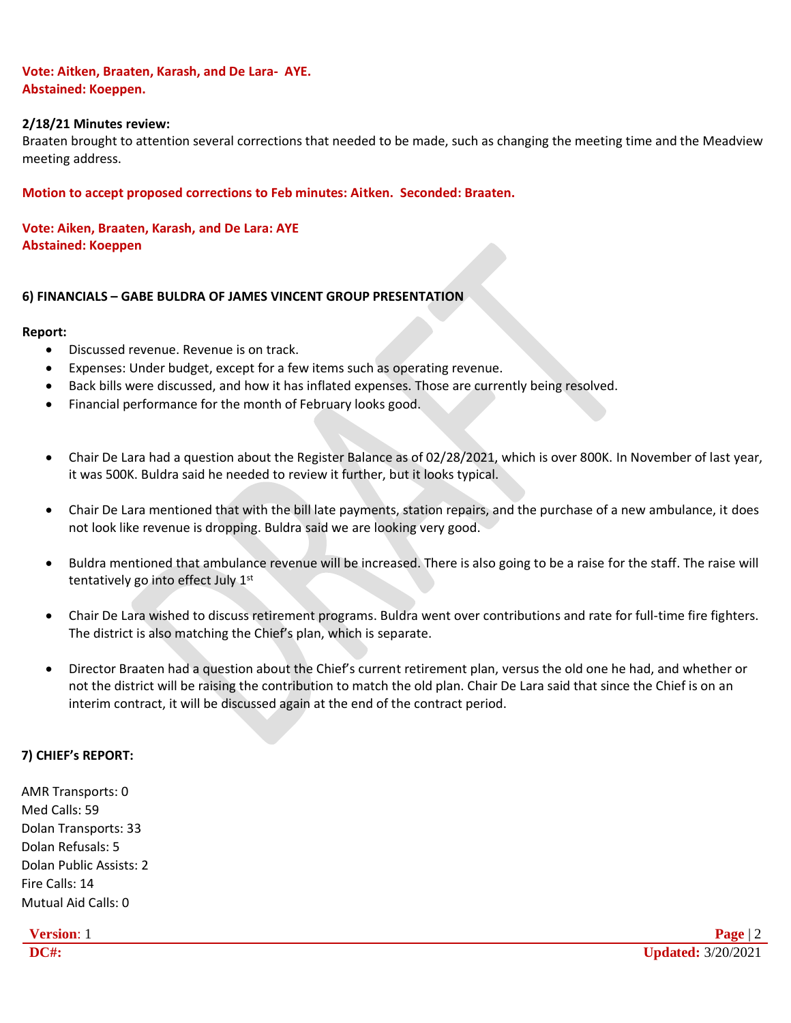#### **Vote: Aitken, Braaten, Karash, and De Lara- AYE. Abstained: Koeppen.**

#### **2/18/21 Minutes review:**

Braaten brought to attention several corrections that needed to be made, such as changing the meeting time and the Meadview meeting address.

#### **Motion to accept proposed corrections to Feb minutes: Aitken. Seconded: Braaten.**

#### **Vote: Aiken, Braaten, Karash, and De Lara: AYE Abstained: Koeppen**

#### **6) FINANCIALS – GABE BULDRA OF JAMES VINCENT GROUP PRESENTATION**

#### **Report:**

- Discussed revenue. Revenue is on track.
- Expenses: Under budget, except for a few items such as operating revenue.
- Back bills were discussed, and how it has inflated expenses. Those are currently being resolved.
- Financial performance for the month of February looks good.
- Chair De Lara had a question about the Register Balance as of 02/28/2021, which is over 800K. In November of last year, it was 500K. Buldra said he needed to review it further, but it looks typical.
- Chair De Lara mentioned that with the bill late payments, station repairs, and the purchase of a new ambulance, it does not look like revenue is dropping. Buldra said we are looking very good.
- Buldra mentioned that ambulance revenue will be increased. There is also going to be a raise for the staff. The raise will tentatively go into effect July  $1<sup>st</sup>$
- Chair De Lara wished to discuss retirement programs. Buldra went over contributions and rate for full-time fire fighters. The district is also matching the Chief's plan, which is separate.
- Director Braaten had a question about the Chief's current retirement plan, versus the old one he had, and whether or not the district will be raising the contribution to match the old plan. Chair De Lara said that since the Chief is on an interim contract, it will be discussed again at the end of the contract period.

#### **7) CHIEF's REPORT:**

AMR Transports: 0 Med Calls: 59 Dolan Transports: 33 Dolan Refusals: 5 Dolan Public Assists: 2 Fire Calls: 14 Mutual Aid Calls: 0

## **Version**: 1 **Page** | 2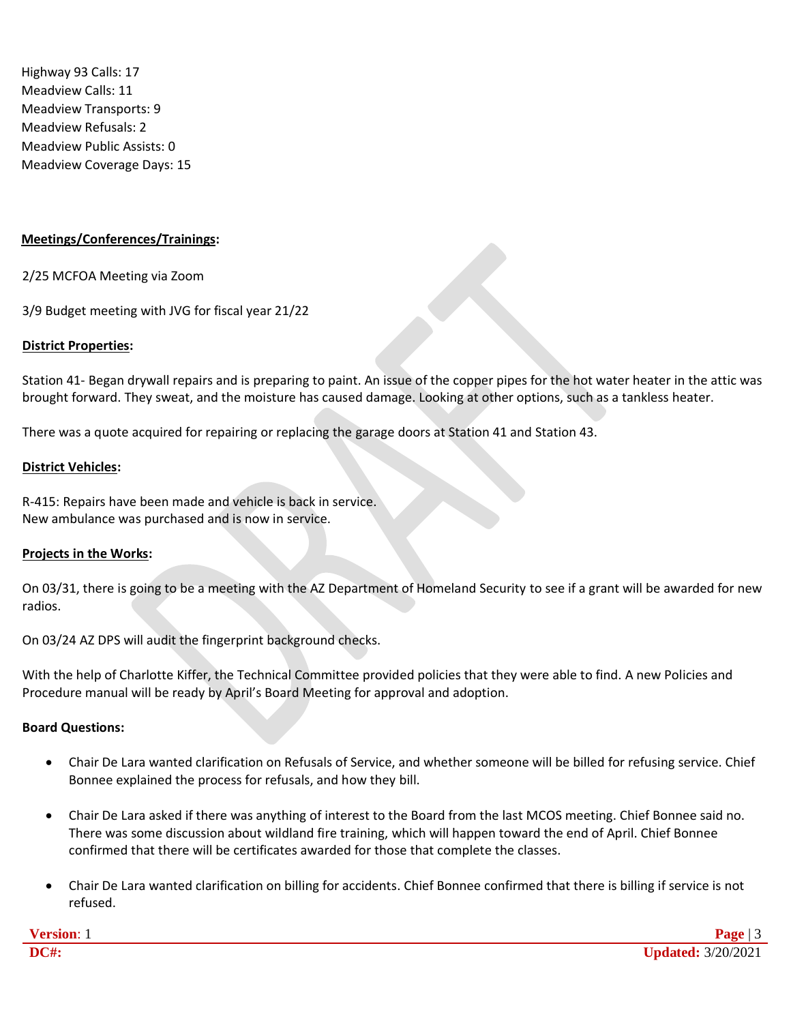Highway 93 Calls: 17 Meadview Calls: 11 Meadview Transports: 9 Meadview Refusals: 2 Meadview Public Assists: 0 Meadview Coverage Days: 15

#### **Meetings/Conferences/Trainings:**

2/25 MCFOA Meeting via Zoom

3/9 Budget meeting with JVG for fiscal year 21/22

#### **District Properties:**

Station 41- Began drywall repairs and is preparing to paint. An issue of the copper pipes for the hot water heater in the attic was brought forward. They sweat, and the moisture has caused damage. Looking at other options, such as a tankless heater.

There was a quote acquired for repairing or replacing the garage doors at Station 41 and Station 43.

#### **District Vehicles:**

R-415: Repairs have been made and vehicle is back in service. New ambulance was purchased and is now in service.

#### **Projects in the Works:**

On 03/31, there is going to be a meeting with the AZ Department of Homeland Security to see if a grant will be awarded for new radios.

On 03/24 AZ DPS will audit the fingerprint background checks.

With the help of Charlotte Kiffer, the Technical Committee provided policies that they were able to find. A new Policies and Procedure manual will be ready by April's Board Meeting for approval and adoption.

#### **Board Questions:**

- Chair De Lara wanted clarification on Refusals of Service, and whether someone will be billed for refusing service. Chief Bonnee explained the process for refusals, and how they bill.
- Chair De Lara asked if there was anything of interest to the Board from the last MCOS meeting. Chief Bonnee said no. There was some discussion about wildland fire training, which will happen toward the end of April. Chief Bonnee confirmed that there will be certificates awarded for those that complete the classes.
- Chair De Lara wanted clarification on billing for accidents. Chief Bonnee confirmed that there is billing if service is not refused.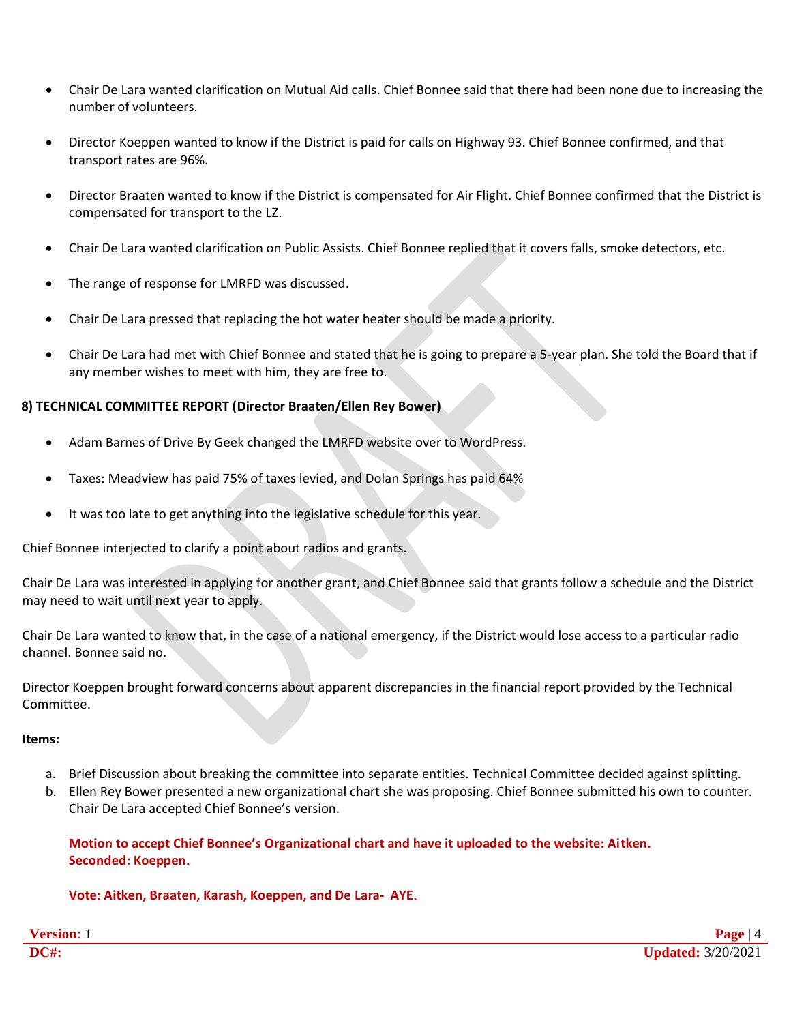- Chair De Lara wanted clarification on Mutual Aid calls. Chief Bonnee said that there had been none due to increasing the number of volunteers.
- Director Koeppen wanted to know if the District is paid for calls on Highway 93. Chief Bonnee confirmed, and that transport rates are 96%.
- Director Braaten wanted to know if the District is compensated for Air Flight. Chief Bonnee confirmed that the District is compensated for transport to the LZ.
- Chair De Lara wanted clarification on Public Assists. Chief Bonnee replied that it covers falls, smoke detectors, etc.
- The range of response for LMRFD was discussed.
- Chair De Lara pressed that replacing the hot water heater should be made a priority.
- Chair De Lara had met with Chief Bonnee and stated that he is going to prepare a 5-year plan. She told the Board that if any member wishes to meet with him, they are free to.

#### **8) TECHNICAL COMMITTEE REPORT (Director Braaten/Ellen Rey Bower)**

- Adam Barnes of Drive By Geek changed the LMRFD website over to WordPress.
- Taxes: Meadview has paid 75% of taxes levied, and Dolan Springs has paid 64%
- It was too late to get anything into the legislative schedule for this year.

Chief Bonnee interjected to clarify a point about radios and grants.

Chair De Lara was interested in applying for another grant, and Chief Bonnee said that grants follow a schedule and the District may need to wait until next year to apply.

Chair De Lara wanted to know that, in the case of a national emergency, if the District would lose access to a particular radio channel. Bonnee said no.

Director Koeppen brought forward concerns about apparent discrepancies in the financial report provided by the Technical Committee.

#### **Items:**

- a. Brief Discussion about breaking the committee into separate entities. Technical Committee decided against splitting.
- b. Ellen Rey Bower presented a new organizational chart she was proposing. Chief Bonnee submitted his own to counter. Chair De Lara accepted Chief Bonnee's version.

**Motion to accept Chief Bonnee's Organizational chart and have it uploaded to the website: Aitken. Seconded: Koeppen.** 

**Vote: Aitken, Braaten, Karash, Koeppen, and De Lara- AYE.**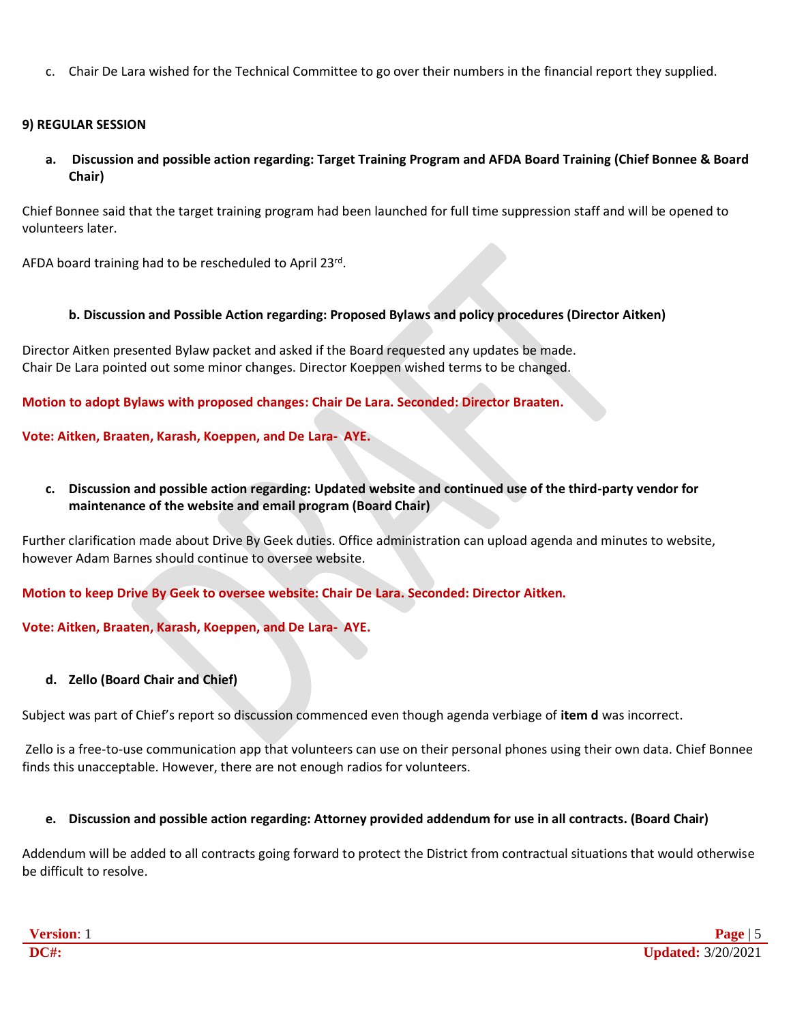c. Chair De Lara wished for the Technical Committee to go over their numbers in the financial report they supplied.

#### **9) REGULAR SESSION**

**a. Discussion and possible action regarding: Target Training Program and AFDA Board Training (Chief Bonnee & Board Chair)**

Chief Bonnee said that the target training program had been launched for full time suppression staff and will be opened to volunteers later.

AFDA board training had to be rescheduled to April 23rd.

#### **b. Discussion and Possible Action regarding: Proposed Bylaws and policy procedures (Director Aitken)**

Director Aitken presented Bylaw packet and asked if the Board requested any updates be made. Chair De Lara pointed out some minor changes. Director Koeppen wished terms to be changed.

**Motion to adopt Bylaws with proposed changes: Chair De Lara. Seconded: Director Braaten.** 

**Vote: Aitken, Braaten, Karash, Koeppen, and De Lara- AYE.**

**c. Discussion and possible action regarding: Updated website and continued use of the third-party vendor for maintenance of the website and email program (Board Chair)**

Further clarification made about Drive By Geek duties. Office administration can upload agenda and minutes to website, however Adam Barnes should continue to oversee website.

**Motion to keep Drive By Geek to oversee website: Chair De Lara. Seconded: Director Aitken.**

**Vote: Aitken, Braaten, Karash, Koeppen, and De Lara- AYE.**

#### **d. Zello (Board Chair and Chief)**

Subject was part of Chief's report so discussion commenced even though agenda verbiage of **item d** was incorrect.

Zello is a free-to-use communication app that volunteers can use on their personal phones using their own data. Chief Bonnee finds this unacceptable. However, there are not enough radios for volunteers.

#### **e. Discussion and possible action regarding: Attorney provided addendum for use in all contracts. (Board Chair)**

Addendum will be added to all contracts going forward to protect the District from contractual situations that would otherwise be difficult to resolve.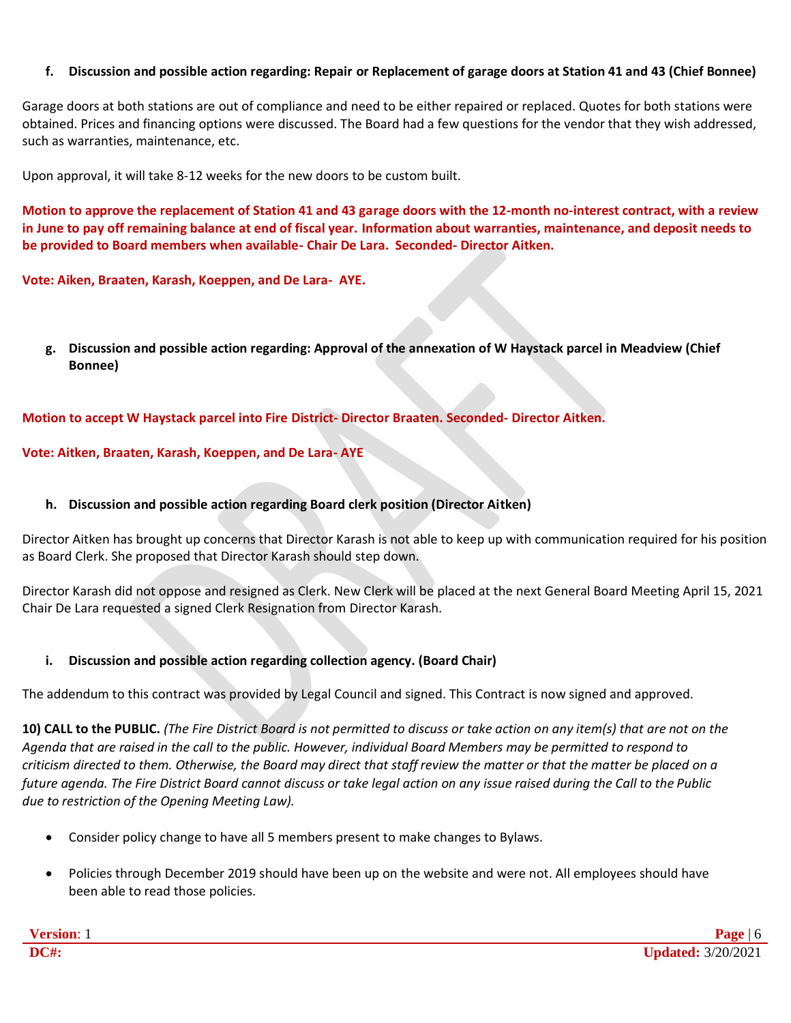#### **f. Discussion and possible action regarding: Repair or Replacement of garage doors at Station 41 and 43 (Chief Bonnee)**

Garage doors at both stations are out of compliance and need to be either repaired or replaced. Quotes for both stations were obtained. Prices and financing options were discussed. The Board had a few questions for the vendor that they wish addressed, such as warranties, maintenance, etc.

Upon approval, it will take 8-12 weeks for the new doors to be custom built.

**Motion to approve the replacement of Station 41 and 43 garage doors with the 12-month no-interest contract, with a review in June to pay off remaining balance at end of fiscal year. Information about warranties, maintenance, and deposit needs to be provided to Board members when available- Chair De Lara. Seconded- Director Aitken.** 

**Vote: Aiken, Braaten, Karash, Koeppen, and De Lara- AYE.**

**g. Discussion and possible action regarding: Approval of the annexation of W Haystack parcel in Meadview (Chief Bonnee)**

#### **Motion to accept W Haystack parcel into Fire District- Director Braaten. Seconded- Director Aitken.**

#### **Vote: Aitken, Braaten, Karash, Koeppen, and De Lara- AYE**

#### **h. Discussion and possible action regarding Board clerk position (Director Aitken)**

Director Aitken has brought up concerns that Director Karash is not able to keep up with communication required for his position as Board Clerk. She proposed that Director Karash should step down.

Director Karash did not oppose and resigned as Clerk. New Clerk will be placed at the next General Board Meeting April 15, 2021 Chair De Lara requested a signed Clerk Resignation from Director Karash.

#### **i. Discussion and possible action regarding collection agency. (Board Chair)**

The addendum to this contract was provided by Legal Council and signed. This Contract is now signed and approved.

10) CALL to the PUBLIC. (The Fire District Board is not permitted to discuss or take action on any item(s) that are not on the *Agenda that are raised in the call to the public. However, individual Board Members may be permitted to respond to*  criticism directed to them. Otherwise, the Board may direct that staff review the matter or that the matter be placed on a *future agenda. The Fire District Board cannot discuss or take legal action on any issue raised during the Call to the Public due to restriction of the Opening Meeting Law).*

- Consider policy change to have all 5 members present to make changes to Bylaws.
- Policies through December 2019 should have been up on the website and were not. All employees should have been able to read those policies.